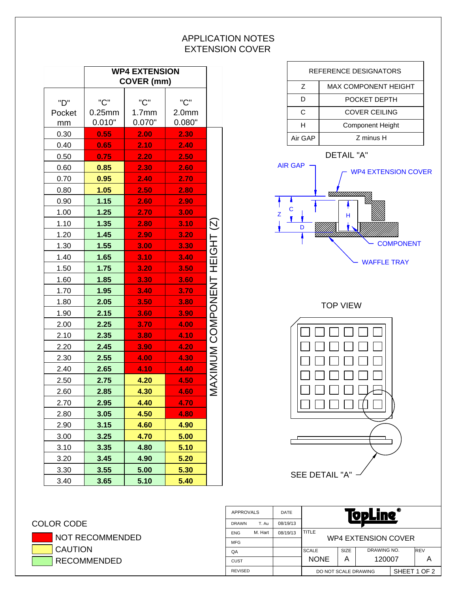## APPLICATION NOTES EXTENSION COVER

|        |           | <b>WP4 EXTENSION</b><br>COVER (mm) |                   |                              |
|--------|-----------|------------------------------------|-------------------|------------------------------|
|        |           |                                    |                   |                              |
| "D"    | "C"       | "C"                                | "C"               |                              |
| Pocket | $0.25$ mm | 1.7 <sub>mm</sub>                  | 2.0 <sub>mm</sub> |                              |
| mm     | 0.010"    | 0.070"                             | 0.080"            |                              |
| 0.30   | 0.55      | 2.00                               | 2.30              |                              |
| 0.40   | 0.65      | 2.10                               | 2.40              |                              |
| 0.50   | 0.75      | 2.20                               | 2.50              |                              |
| 0.60   | 0.85      | 2.30                               | 2.60              |                              |
| 0.70   | 0.95      | 2.40                               | 2.70              |                              |
| 0.80   | 1.05      | 2.50                               | 2.80              |                              |
| 0.90   | 1.15      | 2.60                               | 2.90              |                              |
| 1.00   | 1.25      | 2.70                               | 3.00              |                              |
| 1.10   | 1.35      | 2.80                               | 3.10              |                              |
| 1.20   | 1.45      | 2.90                               | 3.20              |                              |
| 1.30   | 1.55      | 3.00                               | 3.30              |                              |
| 1.40   | 1.65      | 3.10                               | 3.40              |                              |
| 1.50   | 1.75      | 3.20                               | 3.50              |                              |
| 1.60   | 1.85      | 3.30                               | 3.60              |                              |
| 1.70   | 1.95      | 3.40                               | 3.70              |                              |
| 1.80   | 2.05      | 3.50                               | 3.80              |                              |
| 1.90   | 2.15      | 3.60                               | 3.90              |                              |
| 2.00   | 2.25      | 3.70                               | 4.00              |                              |
| 2.10   | 2.35      | 3.80                               | 4.10              |                              |
| 2.20   | 2.45      | 3.90                               | 4.20              |                              |
| 2.30   | 2.55      | 4.00                               | 4.30              | MAXIMUM COMPONENT HEIGHT (Z) |
| 2.40   | 2.65      | 4.10                               | 4.40              |                              |
| 2.50   | 2.75      | 4.20                               | 4.50              |                              |
| 2.60   | 2.85      | 4.30                               | 4.60              |                              |
| 2.70   | 2.95      | 4.40                               | 4.70              |                              |
| 2.80   | 3.05      | 4.50                               | 4.80              |                              |
| 2.90   | 3.15      | 4.60                               | 4.90              |                              |
| 3.00   | 3.25      | 4.70                               | 5.00              |                              |
| 3.10   | 3.35      | 4.80                               | 5.10              |                              |
| 3.20   | 3.45      | 4.90                               | 5.20              |                              |
| 3.30   | 3.55      | 5.00                               | 5.30              |                              |
| 3.40   | 3.65      | 5.10                               | 5.40              |                              |



## COLOR CODE NOT RECOMMENDED  $\overline{C}$ CAUTION

| <b>L</b> CAUTION |
|------------------|
| RECOMMENDED      |

|                |         |          | IVPLIIIT             |                            |              |  |             |
|----------------|---------|----------|----------------------|----------------------------|--------------|--|-------------|
| <b>DRAWN</b>   | T. Au   | 08/19/13 |                      |                            |              |  |             |
| <b>ENG</b>     | M. Hart | 08/19/13 | <b>TITLE</b>         |                            |              |  |             |
| <b>MFG</b>     |         |          | WP4 EXTENSION COVER  |                            |              |  |             |
| QA             |         |          | <b>SCALE</b>         | DRAWING NO.<br><b>SIZE</b> |              |  | <b>IREV</b> |
| <b>CUST</b>    |         |          | <b>NONE</b>          | А                          | 120007       |  |             |
| <b>REVISED</b> |         |          | DO NOT SCALE DRAWING |                            | SHEET 1 OF 2 |  |             |
|                |         |          |                      |                            |              |  |             |

APPROVALS